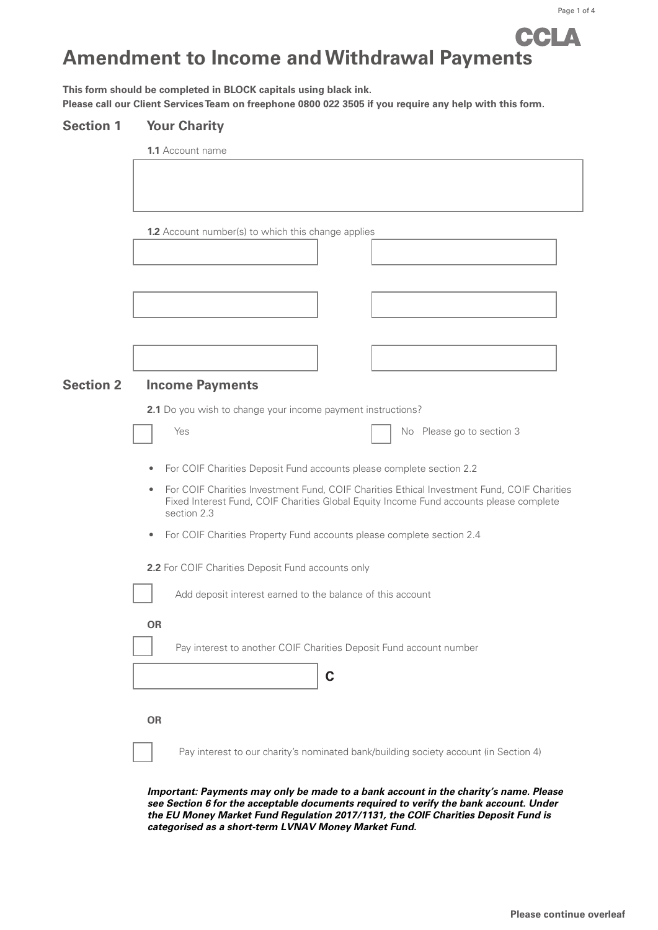# CCLA **Amendment to Income and Withdrawal Payments**

**This form should be completed in BLOCK capitals using black ink. Please call our Client Services Team on freephone 0800 022 3505 if you require any help with this form.**

### **Section 1 Your Charity**

|                  | <b>1.1</b> Account name                                                                                                                                                                                                            |                           |  |
|------------------|------------------------------------------------------------------------------------------------------------------------------------------------------------------------------------------------------------------------------------|---------------------------|--|
|                  |                                                                                                                                                                                                                                    |                           |  |
|                  |                                                                                                                                                                                                                                    |                           |  |
|                  | <b>1.2</b> Account number(s) to which this change applies                                                                                                                                                                          |                           |  |
|                  |                                                                                                                                                                                                                                    |                           |  |
|                  |                                                                                                                                                                                                                                    |                           |  |
|                  |                                                                                                                                                                                                                                    |                           |  |
|                  |                                                                                                                                                                                                                                    |                           |  |
|                  |                                                                                                                                                                                                                                    |                           |  |
| <b>Section 2</b> | <b>Income Payments</b>                                                                                                                                                                                                             |                           |  |
|                  | 2.1 Do you wish to change your income payment instructions?                                                                                                                                                                        |                           |  |
|                  | Yes                                                                                                                                                                                                                                | No Please go to section 3 |  |
|                  | For COIF Charities Deposit Fund accounts please complete section 2.2                                                                                                                                                               |                           |  |
|                  | For COIF Charities Investment Fund, COIF Charities Ethical Investment Fund, COIF Charities<br>Fixed Interest Fund, COIF Charities Global Equity Income Fund accounts please complete                                               |                           |  |
|                  | For COIF Charities Property Fund accounts please complete section 2.4<br>۰                                                                                                                                                         |                           |  |
|                  | 2.2 For COIF Charities Deposit Fund accounts only                                                                                                                                                                                  |                           |  |
|                  | Add deposit interest earned to the balance of this account                                                                                                                                                                         |                           |  |
|                  | <b>OR</b>                                                                                                                                                                                                                          |                           |  |
|                  | Pay interest to another COIF Charities Deposit Fund account number                                                                                                                                                                 |                           |  |
|                  | C                                                                                                                                                                                                                                  |                           |  |
|                  |                                                                                                                                                                                                                                    |                           |  |
|                  | <b>OR</b>                                                                                                                                                                                                                          |                           |  |
|                  | Pay interest to our charity's nominated bank/building society account (in Section 4)                                                                                                                                               |                           |  |
|                  | Important: Payments may only be made to a bank account in the charity's name. Please                                                                                                                                               |                           |  |
|                  | see Section 6 for the acceptable documents required to verify the bank account. Under<br>the EU Money Market Fund Regulation 2017/1131, the COIF Charities Deposit Fund is<br>categorised as a short-term LVNAV Money Market Fund. |                           |  |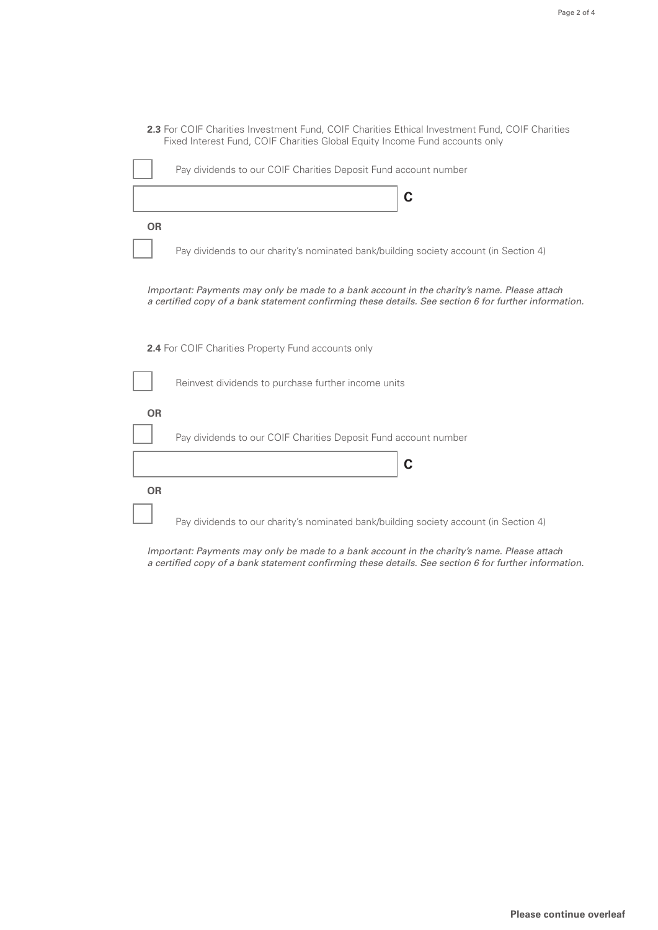|                                                                                                                                                                                                      | Fixed Interest Fund, COIF Charities Global Equity Income Fund accounts only           |  |  |
|------------------------------------------------------------------------------------------------------------------------------------------------------------------------------------------------------|---------------------------------------------------------------------------------------|--|--|
|                                                                                                                                                                                                      | Pay dividends to our COIF Charities Deposit Fund account number                       |  |  |
|                                                                                                                                                                                                      | C                                                                                     |  |  |
| <b>OR</b>                                                                                                                                                                                            |                                                                                       |  |  |
|                                                                                                                                                                                                      | Pay dividends to our charity's nominated bank/building society account (in Section 4) |  |  |
| Important: Payments may only be made to a bank account in the charity's name. Please attach<br>a certified copy of a bank statement confirming these details. See section 6 for further information. |                                                                                       |  |  |
| <b>2.4</b> For COIF Charities Property Fund accounts only                                                                                                                                            |                                                                                       |  |  |
|                                                                                                                                                                                                      | Reinvest dividends to purchase further income units                                   |  |  |
| <b>OR</b>                                                                                                                                                                                            |                                                                                       |  |  |
|                                                                                                                                                                                                      | Pay dividends to our COIF Charities Deposit Fund account number                       |  |  |
|                                                                                                                                                                                                      | C                                                                                     |  |  |
| <b>OR</b>                                                                                                                                                                                            |                                                                                       |  |  |
|                                                                                                                                                                                                      | Pay dividends to our charity's nominated bank/building society account (in Section 4) |  |  |

**2.3** For COIF Charities Investment Fund, COIF Charities Ethical Investment Fund, COIF Charities

Important: Payments may only be made to a bank account in the charity's name. Please attach a certified copy of a bank statement confirming these details. See section 6 for further information.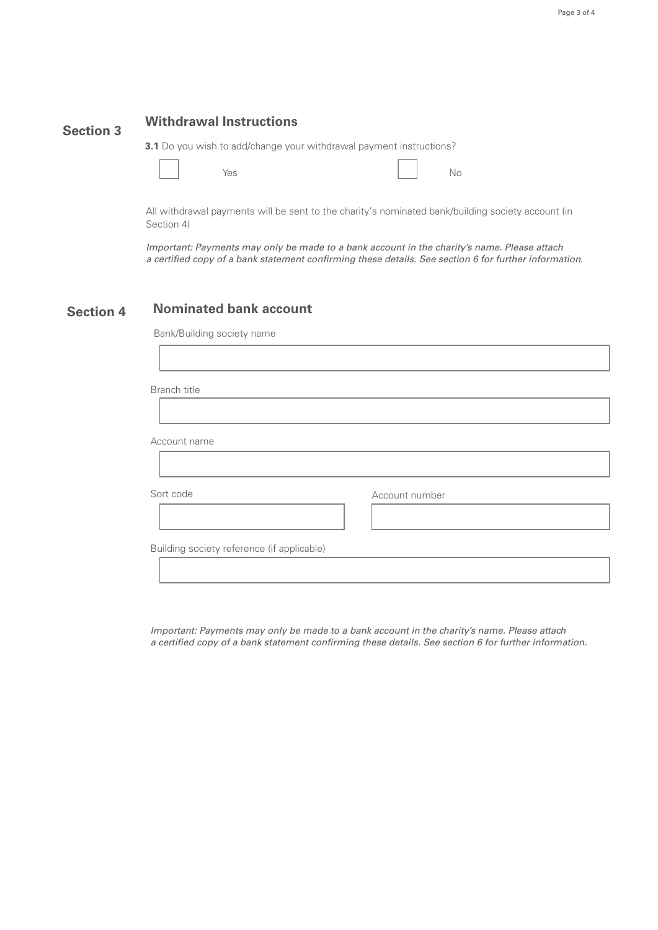### **Section 3 Withdrawal Instructions**

**3.1** Do you wish to add/change your withdrawal payment instructions?

Yes No

All withdrawal payments will be sent to the charity's nominated bank/building society account (in Section 4)

Important: Payments may only be made to a bank account in the charity's name. Please attach a certified copy of a bank statement confirming these details. See section 6 for further information*.*

#### **Section 4 Nominated bank account**

Bank/Building society name

Branch title

Account name

Sort code Account number

Building society reference (if applicable)

Important: Payments may only be made to a bank account in the charity's name. Please attach a certified copy of a bank statement confirming these details. See section 6 for further information.